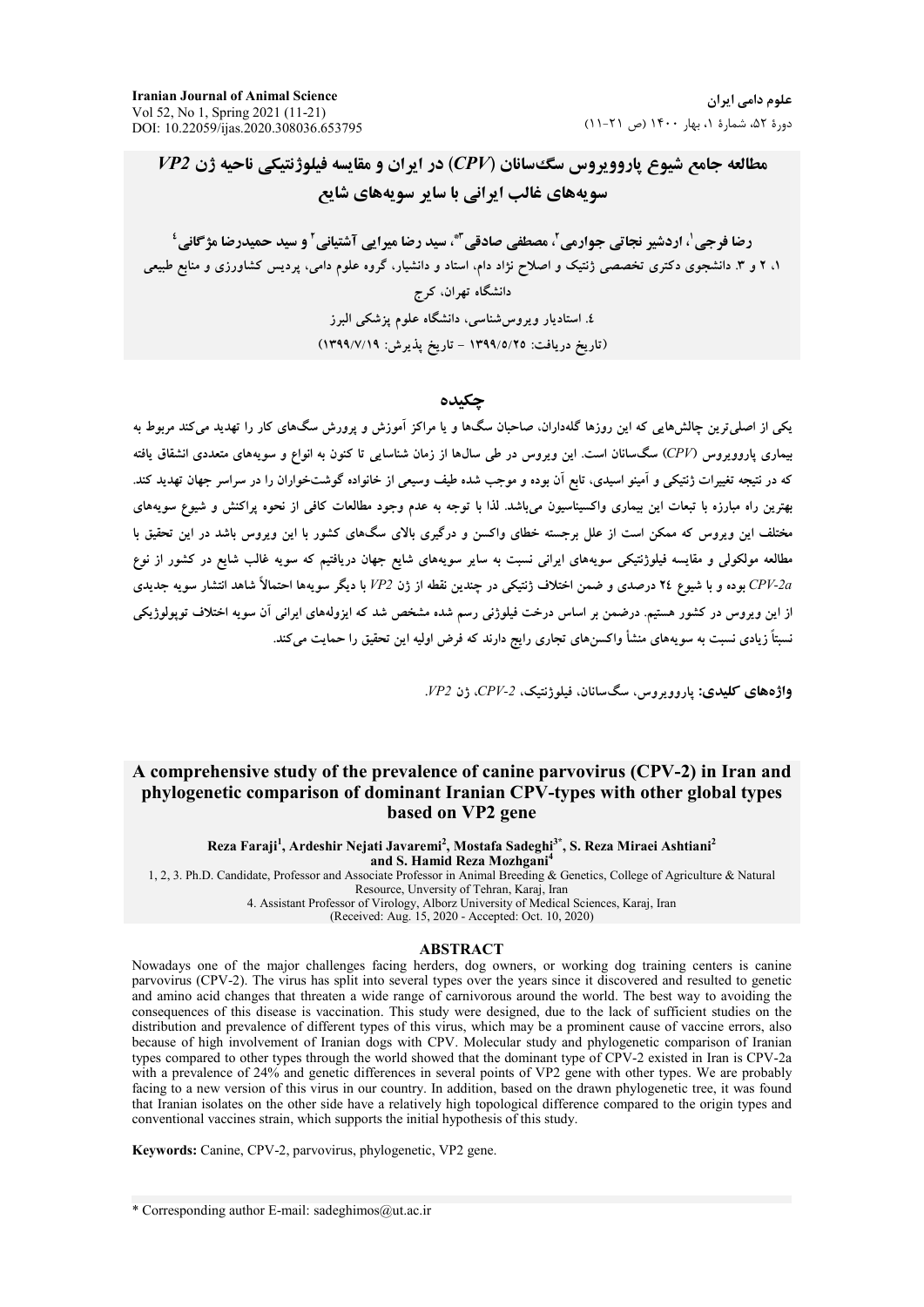**Iranian Journal of Animal Science** Vol 52, No 1, Spring 2021 (11-21) DOI: 10.22059/ijas.2020.308036.653795

علوم دامے, ایران دورهٔ ۵۲، شمارهٔ ۱، بهار ۱۴۰۰ (ص ۲۱-۱۱)

 $\emph{VP2}$  مطالعه جامع شیوع پاروویروس سگ سانان (CPV) در ایران و مقایسه فیلوژنتیکی ناحیه ژن سویههای غالب ایرانی با سایر سویههای شایع

رضا فرجی '، اردشیر نجاتی جوارمی ً، مصطفی صادقی ۖ، سید رضا میرایی آشتیانی ؑ و سید حمیدرضا مژگانی ٔ ۱، ۲ و ۳. دانشجوی دکتری تخصصی ژنتیک و اصلاح نژاد دام، استاد و دانشیار، گروه علوم دامی، پردیس کشاورزی و منابع طبیعی دانشگاه تهران، کرج ٤. استادیار ویروس شناسی، دانشگاه علوم یزشکی البرز (تاريخ دريافت: ١٣٩٩/٥/٢٥ - تاريخ پذيرش: ١٣٩٩/٧/١٩)

#### جكىدە

یکی از اصلی ترین چالشهایی که این روزها گلهداران، صاحبان سگها و یا مراکز آموزش و پرورش سگهای کار را تهدید میکند مربوط به بیماری یاروویروس (CPV) سگسانان است. این ویروس در طی سالها از زمان شناسایی تا کنون به انواع و سویههای متعددی انشقاق یافته که در نتیجه تغییرات ژنتیکی و آمینو اسیدی، تابع آن بوده و موجب شده طیف وسیعی از خانواده گوشتخواران را در سراسر جهان تهدید کند. بهترین راه مبارزه با تبعات این بیماری واکسیناسیون میباشد. لذا با توجه به عدم وجود مطالعات کافی از نحوه پراکنش و شیوع سویههای مختلف این ویروس که ممکن است از علل برجسته خطای واکسن و درگیری بالای سگهای کشور با این ویروس باشد در این تحقیق با مطالعه مولکولی و مقایسه فیلوژنتیکی سویههای ایرانی نسبت به سایر سویههای شایع جهان دریافتیم که سویه غالب شایع در کشور از نوع .<br>CPV-2a بوده و با شیوع ۲٤ درصدی و ضمن اختلاف ژنتیکی در چندین نقطه از ژن VP2 با دیگر سویهها احتمالاً شاهد انتشار سویه جدیدی از این ویروس در کشور هستیم. درضمن بر اساس درخت فیلوژنی رسم شده مشخص شد که ایزولههای ایرانی آن سویه اختلاف توپولوژیکی نسبتاً زیادی نسبت به سویههای منشأ واکسنهای تجاری رایج دارند که فرض اولیه این تحقیق را حمایت میکند.

واژههای کلیدی: یاروویروس، سگسانان، فیلوژنتیک، CPV-2، ژن VP2.

# A comprehensive study of the prevalence of canine parvovirus (CPV-2) in Iran and phylogenetic comparison of dominant Iranian CPV-types with other global types based on VP2 gene

Reza Faraji<sup>1</sup>, Ardeshir Nejati Javaremi<sup>2</sup>, Mostafa Sadeghi<sup>3\*</sup>, S. Reza Miraei Ashtiani<sup>2</sup> and S. Hamid Reza Mozhgani<sup>4</sup>

1, 2, 3. Ph.D. Candidate, Professor and Associate Professor in Animal Breeding & Genetics, College of Agriculture & Natural

Resource, Unversity of Tehran, Karaj, Iran<br>4. Assistant Professor of Virology, Alborz University of Medical Sciences, Karaj, Iran

(Received: Aug. 15, 2020 - Accepted: Oct. 10, 2020)

#### **ABSTRACT**

Nowadays one of the major challenges facing herders, dog owners, or working dog training centers is canine parvovirus (CPV-2). The virus has split into several types over the years since it discovered and resulted to genetic and amino acid changes that threaten a wide range of carnivorous around the world. The best way to avoiding the consequences of this disease is vaccination. This study were designed, due to the lack of sufficient studies on the distribution and prevalence of different types of this virus, which may be a prominent cause of vaccine errors, also because of high involvement of Iranian dogs with CPV. Molecular study and phylogenetic comparison of Iranian types compared to other types through the world showed that the dominant type of CPV-2 existed in Iran is CPV-2a with a prevalence of 24% and genetic differences in several points of VP2 gene with other types. We are probably facing to a new version of this virus in our country. In addition, based on the drawn phylogenetic tree, it was found that Iranian isolates on the other side have a relatively high topological difference compared to the origin types and conventional vaccines strain, which supports the initial hypothesis of this study.

Keywords: Canine, CPV-2, parvovirus, phylogenetic, VP2 gene.

\* Corresponding author E-mail: sadeghimos@ut.ac.ir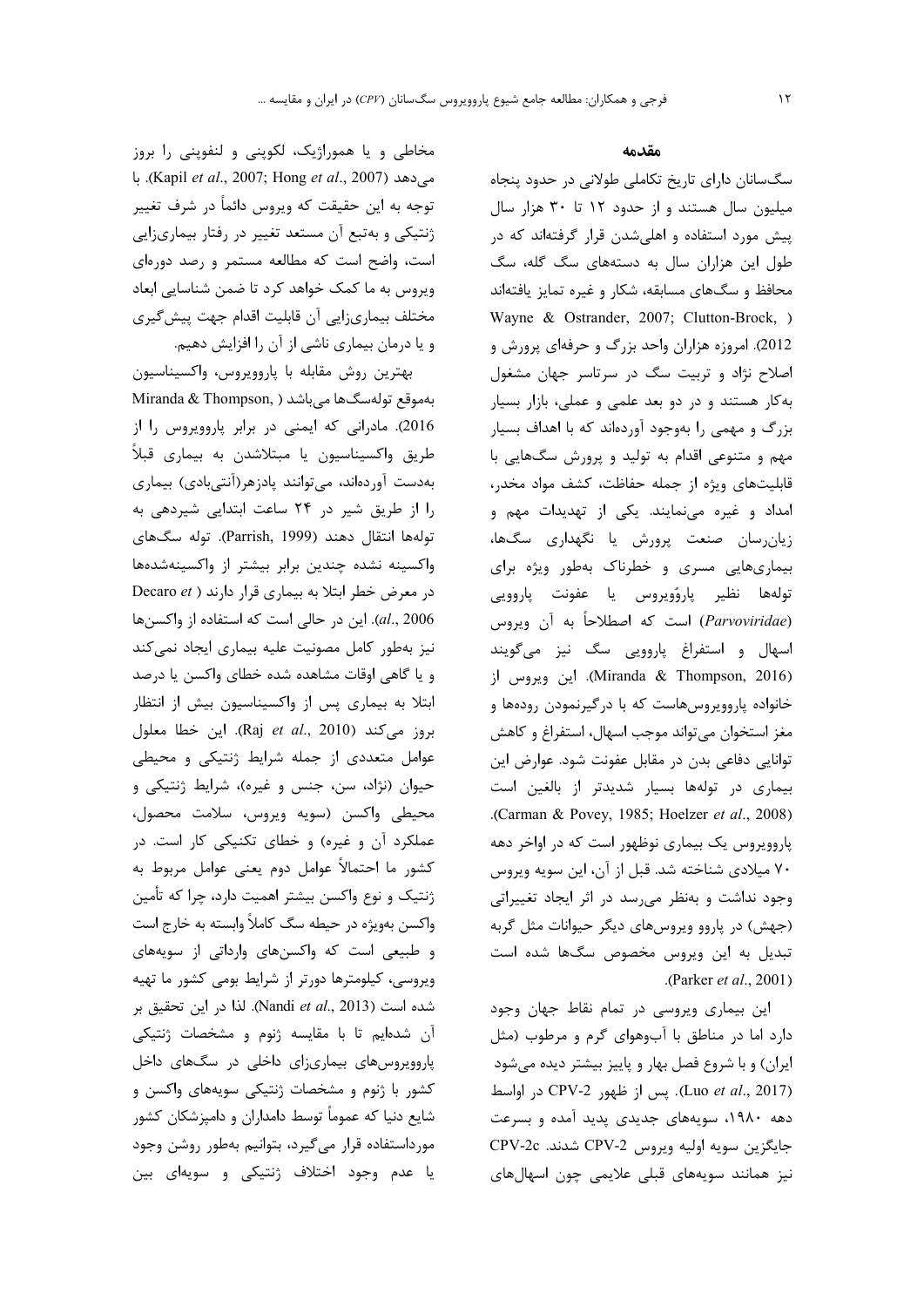مخاطی و یا هموراژیک، لکوپنی و لنفوینی را بروز مي دهد (Kapil et al., 2007; Hong et al., 2007). با توجه به این حقیقت که ویروس دائماً در شرف تغییر ژنتیکی و بهتبع آن مستعد تغییر در رفتار بیماریزایی است، واضح است که مطالعه مستمر و رصد دورهای ویروس به ما کمک خواهد کرد تا ضمن شناسایی ابعاد مختلف بيماريزايي أن قابليت اقدام جهت پيش گيري و یا درمان بیماری ناشی از آن را افزایش دهیم.

بهترين روش مقابله با پاروويروس، واكسيناسيون بهموقع تولهسگها میباشد ( Miranda & Thompson, 2016). مادرانی که ایمنی در برابر پاروویروس را از طریق واکسیناسیون یا مبتلاشدن به بیماری قبلاً بهدست آوردهاند، میتوانند پادزهر(آنتیبادی) بیماری را از طریق شیر در ٢۴ ساعت ابتدایی شیردهی به تولەھا انتقال دھند (Parrish, 1999). تولە سگىھاي واكسينه نشده چندين برابر بيشتر از واكسينهشدهها در معرض خطر ابتلا به بیماری قرار دارند ( Decaro et al., 2006). این در حالی است که استفاده از واکسنها نیز بهطور کامل مصونیت علیه بیماری ایجاد نمیکند و یا گاهی اوقات مشاهده شده خطای واکسن یا درصد ابتلا به بیماری پس از واکسیناسیون بیش از انتظار بروز می کند (Raj et al., 2010). این خطا معلول عوامل متعددی از جمله شرایط ژنتیکی و محیطی حیوان (نژاد، سن، جنس و غیره)، شرایط ژنتیکی و محيطى واكسن (سويه ويروس، سلامت محصول، عملکرد آن و غیره) و خطای تکنیکی کار است. در كشور ما احتمالاً عوامل دوم يعني عوامل مربوط به ژنتیک و نوع واکسن بیشتر اهمیت دارد، چرا که تأمین واکسن بهویژه در حیطه سگ کاملاً وابسته به خارج است و طبیعی است که واکسنهای وارداتی از سویههای ویروسی، کیلومترها دورتر از شرایط بومی کشور ما تهیه شده است (Nandi et al., 2013). لذا در این تحقیق بر آن شدهایم تا با مقایسه ژنوم و مشخصات ژنتیکی پاروویروس های بیماریزای داخلی در سگهای داخل کشور با ژنوم و مشخصات ژنتیکی سویههای واکسن و شایع دنیا که عموماً توسط دامداران و دامیزشکان کشور مورداستفاده قرار مىگيرد، بتوانيم بهطور روشن وجود یا عدم وجود اختلاف ژنتیکی و سویهای بین

### مقدمه

سگ سانان دارای تاریخ تکاملی طولانی در حدود پنجاه میلیون سال هستند و از حدود ۱۲ تا ۳۰ هزار سال پیش مورد استفاده و اهلی شدن قرار گرفتهاند که در طول این هزاران سال به دستههای سگ گله، سگ محافظ و سگهای مسابقه، شکار و غیره تمایز یافتهاند Wayne & Ostrander, 2007; Clutton-Brock, ) 2012). امروزه هزاران واحد بزرگ و حرفهای پرورش و اصلاح نژاد و تربیت سگ در سرتاسر جهان مشغول به کار هستند و در دو بعد علمی و عملی، بازار بسیار بزرگ و مهمی را بهوجود آوردهاند که با اهداف بسیار مهم و متنوعی اقدام به تولید و پرورش سگهایی با قابلیتهای ویژه از جمله حفاظت، کشف مواد مخدر، امداد و غیره مینمایند. یکی از تهدیدات مهم و زيان رسان صنعت پرورش يا نگهداري سگها، بیماریهایی مسری و خطرناک بهطور ویژه برای تولەها نظير پارۇويروس يا عفونت پاروويى (Parvoviridae) است که اصطلاحاً به آن ویروس اسهال و استفراغ پاروویی سگ نیز میگویند (Miranda & Thompson, 2016). این ویروس از خانواده پاروویروسهاست که با درگیرنمودن رودهها و مغز استخوان می تواند موجب اسهال، استفراغ و کاهش توانایی دفاعی بدن در مقابل عفونت شود. عوارض این بیماری در تولهها بسیار شدیدتر از بالغین است .(Carman & Povey, 1985; Hoelzer et al., 2008). پاروویروس یک بیماری نوظهور است که در اواخر دهه ۷۰ میلادی شناخته شد. قبل از آن، این سویه ویروس وجود نداشت و بهنظر می رسد در اثر ایجاد تغییراتی (جهش) در پاروو ویروسهای دیگر حیوانات مثل گربه تبدیل به این ویروس مخصوص سگها شده است  $(Parker et al., 2001)$ 

این بیماری ویروسی در تمام نقاط جهان وجود دارد اما در مناطق با آبوهوای گرم و مرطوب (مثل ایران) و با شروع فصل بهار و پاییز بیشتر دیده میشود (Luo et al., 2017). پس از ظهور CPV-2 در اواسط دهه ۱۹۸۰، سویههای جدیدی پدید آمده و بسرعت جايگزين سويه اوليه ويروس CPV-2 شدند. CPV-2c نیز همانند سویههای قبلی علایمی چون اسهالهای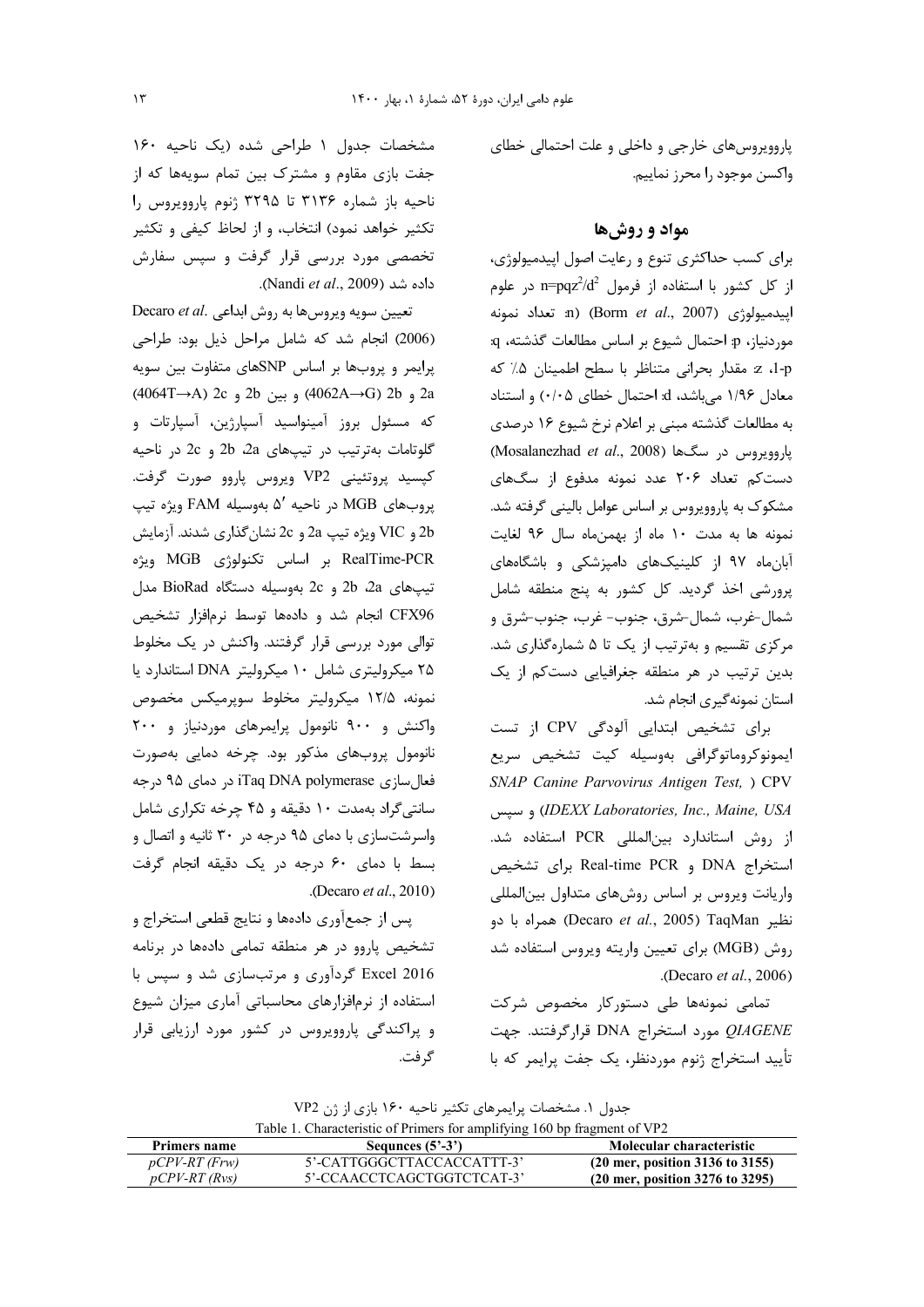یاروویروس های خارجی و داخلی و علت احتمالی خطای واكسن موجود را محرز نماييم.

### مواد و روش ها

برای کسب حداکثری تنوع و رعایت اصول اپیدمیولوژی،  $p = \text{p} q z^2 / d^2$  از کل کشور با استفاده از فرمول n=pqz $^2$ /d<sup>2</sup> اپیدمیولوژی (Borm et al., 2007) (n تعداد نمونه موردنياز، p: احتمال شيوع بر اساس مطالعات گذشته، q: 1-p، z مقدار بحراني متناظر با سطح اطمينان ۵٪ كه معادل ۱/۹۶ میباشد، d: احتمال خطای ۰/۰۵) و استناد به مطالعات گذشته مبنی بر اعلام نرخ شیوع ۱۶ درصدی (Mosalanezhad et al., 2008) ياروويروس در سگها دست کم تعداد ۲۰۶ عدد نمونه مدفوع از سگهای مشکوک به پاروویروس بر اساس عوامل بالینی گرفته شد. نمونه ها به مدت ١٠ ماه از بهمنماه سال ٩۶ لغايت آبان ماه ۹۷ از کلینیکهای دامپزشکی و باشگاههای پرورشی اخذ گردید. کل کشور به پنج منطقه شامل شمال-غرب، شمال-شرق، جنوب- غرب، جنوب-شرق و مرکزی تقسیم و بهترتیب از یک تا ۵ شمارهگذاری شد. بدین ترتیب در هر منطقه جغرافیایی دستکم از یک استان نمونه گیری انجام شد.

برای تشخیص ابتدایی آلودگی CPV از تست ايمونوكروماتوگرافى بەوسيلە كيت تشخيص سريع SNAP Canine Parvovirus Antigen Test, ) CPV DEXX Laboratories, Inc., Maine, USA) و سيس از روش استاندارد بین|لمللی PCR استفاده شد. استخراج DNA و Real-time PCR براى تشخيص واریانت ویروس بر اساس روشهای متداول بینالمللی نظير Decaro et al., 2005) TaqMan) همراه با دو روش (MGB) براي تعيين واريته ويروس استفاده شد .(Decaro  $et al., 2006$ )

تمامی نمونهها طی دستورکار مخصوص شرکت  $QIAGENE$ مورد استخراج DNA قرارگرفتند. جهت تأييد استخراج ژنوم موردنظر، يک جفت پرايمر که با

مشخصات جدول ١ طراحي شده (يک ناحيه ١۶٠ جفت بازی مقاوم و مشترک بین تمام سویهها که از ناحيه باز شماره ٣١٣۶ تا ٣٢٩۵ ژنوم پاروويروس را تکثیر خواهد نمود) انتخاب، و از لحاظ کیفی و تکثیر تخصصی مورد بررسی قرار گرفت و سپس سفارش داده شد (Nandi et al., 2009).

Decaro et al. تعيين سويه ويروس ها به روش ابداعي (2006) انجام شد که شامل مراحل ذیل بود: طراحی پرایمر و پروبها بر اساس SNPهای متفاوت بین سویه 2a و 2b (4062A→G) و بين 2b و 2c (4064T→A) 2c که مسئول بروز آمینواسید آسپارژین، آسپارتات و گلوتامات بهترتیب در تیپهای 2a و 2b در ناحیه کپسید پروتئینی VP2 ویروس پاروو صورت گرفت. پروبهای MGB در ناحیه ۵' بهوسیله FAM ویژه تیپ 2b و VIC ويژه تيپ 2a و 2c نشان گذاري شدند. آزمايش RealTime-PCR بر اساس تكنولوژي MGB ويژه تيپ هاي 2a و 2b بهوسيله دستگاه BioRad مدل CFX96 انجام شد و دادهها توسط نرمافزار تشخيص توالی مورد بررسی قرار گرفتند. واکنش در یک مخلوط ۲۵ میکرولیتری شامل ۱۰ میکرولیتر DNA استاندارد یا نمونه، ۱۲/۵ میکرولیتر مخلوط سوپرمیکس مخصوص واکنش و ۹۰۰ نانومول پرایمرهای موردنیاز و ۲۰۰ نانومول پروبهای مذکور بود. چرخه دمایی بهصورت فعال سازی iTaq DNA polymerase در جه سانتی گراد بهمدت ۱۰ دقیقه و ۴۵ چرخه تکراری شامل واسرشتسازی با دمای ۹۵ درجه در ۳۰ ثانیه و اتصال و بسط با دمای ۶۰ درجه در یک دقیقه انجام گرفت .(Decaro et al., 2010)

پس از جمعآوری دادهها و نتایج قطعی استخراج و تشخیص پاروو در هر منطقه تمامی دادهها در برنامه Excel 2016 گردآوری و مرتبسازی شد و سپس با استفاده از نرمافزارهای محاسباتی آماری میزان شیوع و پراکندگی پاروویروس در کشور مورد ارزیابی قرار گر فت.

جدول ۱. مشخصات پرایمرهای تکثیر ناحیه ۱۶۰ بازی از ژن VP2 Table 1. Characteristic of Primers for amplifying 160 bp fragment of VP2

| $1.0018$ is characterized of finite for ampliting 100 op haghlant of $1.2$ |                            |                                                            |  |  |  |  |  |
|----------------------------------------------------------------------------|----------------------------|------------------------------------------------------------|--|--|--|--|--|
| Primers name                                                               | Sequies $(5^2-3^2)$        | Molecular characteristic                                   |  |  |  |  |  |
| $pCPV-RT$ (Frw)                                                            | 5'-CATTGGGCTTACCACCATTT-3' | $(20 \text{ mer}, \text{position } 3136 \text{ to } 3155)$ |  |  |  |  |  |
| $pCPV-RT$ (Rvs)                                                            | 5'-CCAACCTCAGCTGGTCTCAT-3' | $(20 \text{ mer}, \text{position } 3276 \text{ to } 3295)$ |  |  |  |  |  |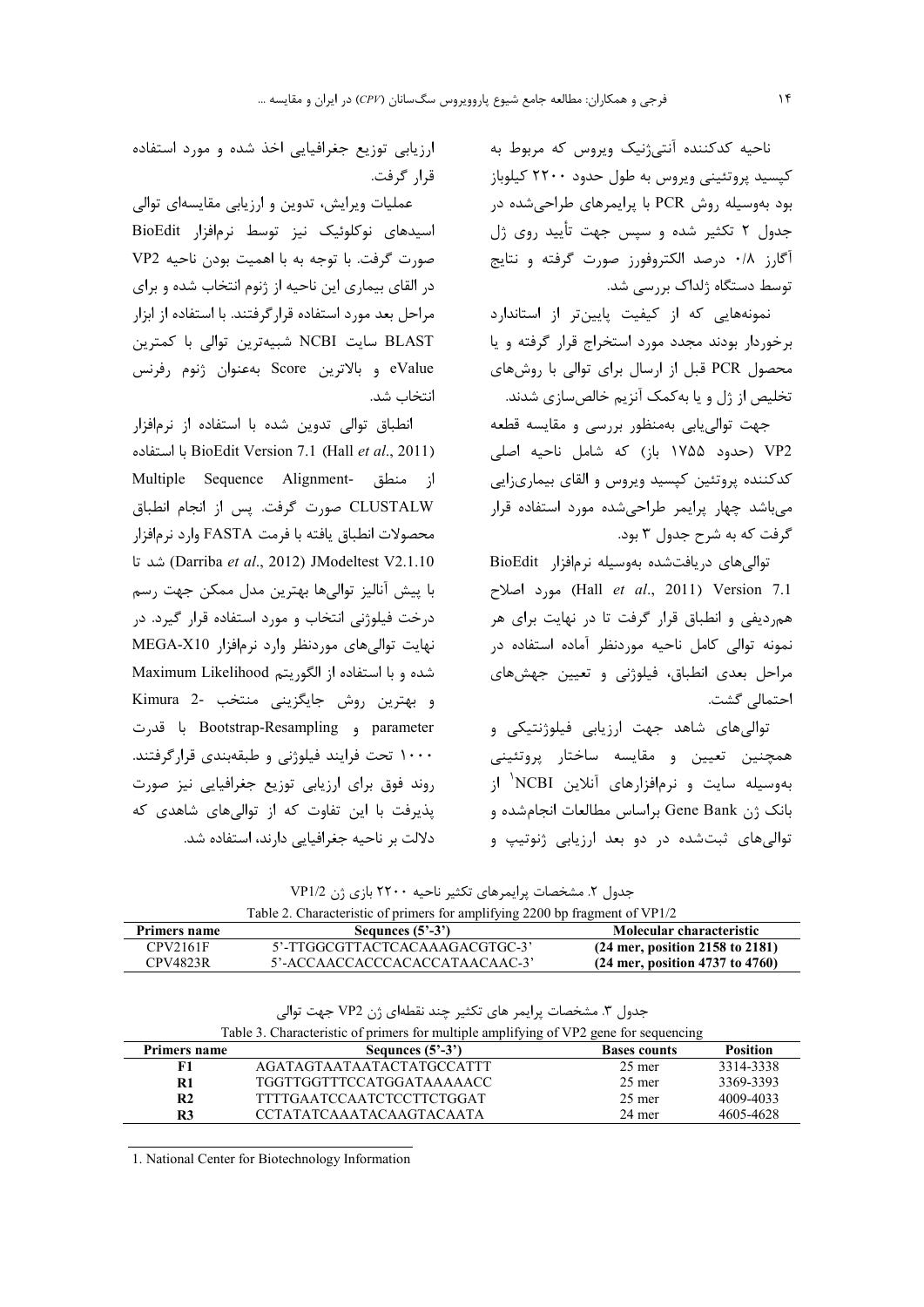ناحیه کدکننده آنتیژنیک ویروس که مربوط به کپسید پروتئینی ویروس به طول حدود ۲۲۰۰ کیلوباز بود بهوسیله روش PCR با پرایمرهای طراحیشده در جدول ۲ تکثیر شده و سپس جهت تأیید روی ژل آگارز ۰/۸ درصد الکتروفورز صورت گرفته و نتایج توسط دستگاه ژلداک بررسی شد.

نمونههایی که از کیفیت پایینتر از استاندارد برخوردار بودند مجدد مورد استخراج قرار گرفته و یا محصول PCR قبل از ارسال برای توالی با روشهای تخلیص از ژل و یا بهکمک آنزیم خالصسازی شدند.

جهت توالي يابي بهمنظور بررسي و مقايسه قطعه VP2 (حدود ۱۷۵۵ باز) که شامل ناحیه اصلی كدكننده پروتئين كپسيد ويروس و القاي بيماريزايي می باشد چهار پرایمر طراحی شده مورد استفاده قرار گرفت که به شرح جدول ۳ بود.

توالی های دریافتشده بهوسیله نرمافزار BioEdit Hall et al., 2011) Version 7.1) مورد اصلاح همردیفی و انطباق قرار گرفت تا در نهایت برای هر نمونه توالی کامل ناحیه موردنظر آماده استفاده در مراحل بعدی انطباق، فیلوژنی و تعیین جهشهای احتمالی گشت.

توالی های شاهد جهت ارزیابی فیلوژنتیکی و همچنین تعیین و مقایسه ساختار پروتئینی بهوسیله سایت و نرمافزارهای آنلاین NCBI<sup>۱</sup> از بانک ژن Gene Bank براساس مطالعات انجام شده و توالی های ثبتشده در دو بعد ارزیابی ژنوتیپ و

ارزیابی توزیع جغرافیایی اخذ شده و مورد استفاده قرار گرفت.

عملیات ویرایش، تدوین و ارزیابی مقایسهای توالی اسیدهای نوکلوئیک نیز توسط نرمافزار BioEdit صورت گرفت. با توجه به با اهميت بودن ناحيه VP2 در القای بیماری این ناحیه از ژنوم انتخاب شده و برای مراحل بعد مورد استفاده قرارگرفتند. با استفاده از ابزار BLAST سایت NCBI شبیهترین توالی با کمترین eValue و بالاترين Score بهعنوان ژنوم رفرنس انتخاب شد.

انطباق توالی تدوین شده با استفاده از نرمافزار BioEdit Version 7.1 (Hall et al., 2011) با استفاده از منطق -Multiple Sequence Alignment CLUSTALW صورت گرفت. پس از انجام انطباق محصولات انطباق يافته با فرمت FASTA وارد نرمافزار (Darriba et al., 2012) JModeltest V2.1.10) شد تا با پیش آنالیز توالی ها بهترین مدل ممکن جهت رسم درخت فیلوژنی انتخاب و مورد استفاده قرار گیرد. در نهایت توالی های موردنظر وارد نرمافزار MEGA-X10 شده و با استفاده از الگوریتم Maximum Likelihood و بهترين روش جايگزيني منتخب -2 Kimura parameter و Bootstrap-Resampling با قدرت ۱۰۰۰ تحت فرایند فیلوژنی و طبقهبندی قرارگرفتند. روند فوق برای ارزیابی توزیع جغرافیایی نیز صورت پذیرفت با این تفاوت که از توالی های شاهدی که دلالت بر ناحیه جغرافیایی دارند، استفاده شد.

جدول ۲. مشخصات پرایمرهای تکثیر ناحیه ۲۲۰۰ بازی ژن VP1/2<br>۲۷D1/2

| Table 2. Characteristic of primers for amplifying 2200 bp fragment of $VPI/Z$ |                                |                                   |  |  |  |  |
|-------------------------------------------------------------------------------|--------------------------------|-----------------------------------|--|--|--|--|
| Primers name                                                                  | Sequinces $(5^2-3^2)$          | Molecular characteristic          |  |  |  |  |
| CPV2161F                                                                      | 5'-TTGGCGTTACTCACAAAGACGTGC-3' | $(24$ mer, position 2158 to 2181) |  |  |  |  |
| CPV4823R                                                                      | 5'-ACCAACCACCCACACCATAACAAC-3' | $(24$ mer, position 4737 to 4760) |  |  |  |  |

جدول ٣. مشخصات پرايمر هاي تكثير چند نقطهاي ژن VP2 جهت توالي

| Table 3. Characteristic of primers for multiple amplifying of VP2 gene for sequencing |                           |                     |                 |  |  |  |
|---------------------------------------------------------------------------------------|---------------------------|---------------------|-----------------|--|--|--|
| Primers name                                                                          | Sequies $(5^2-3^2)$       | <b>Bases counts</b> | <b>Position</b> |  |  |  |
| F1                                                                                    | AGATAGTAATAATACTATGCCATTT | $25$ mer            | 3314-3338       |  |  |  |
| R1                                                                                    | TGGTTGGTTTCCATGGATAAAAACC | $25$ mer            | 3369-3393       |  |  |  |
| R <sub>2</sub>                                                                        | TTTTGAATCCAATCTCCTTCTGGAT | $25$ mer            | 4009-4033       |  |  |  |
| R3                                                                                    | CCTATATCAAATACAAGTACAATA  | 24 mer              | 4605-4628       |  |  |  |
|                                                                                       |                           |                     |                 |  |  |  |

1. National Center for Biotechnology Information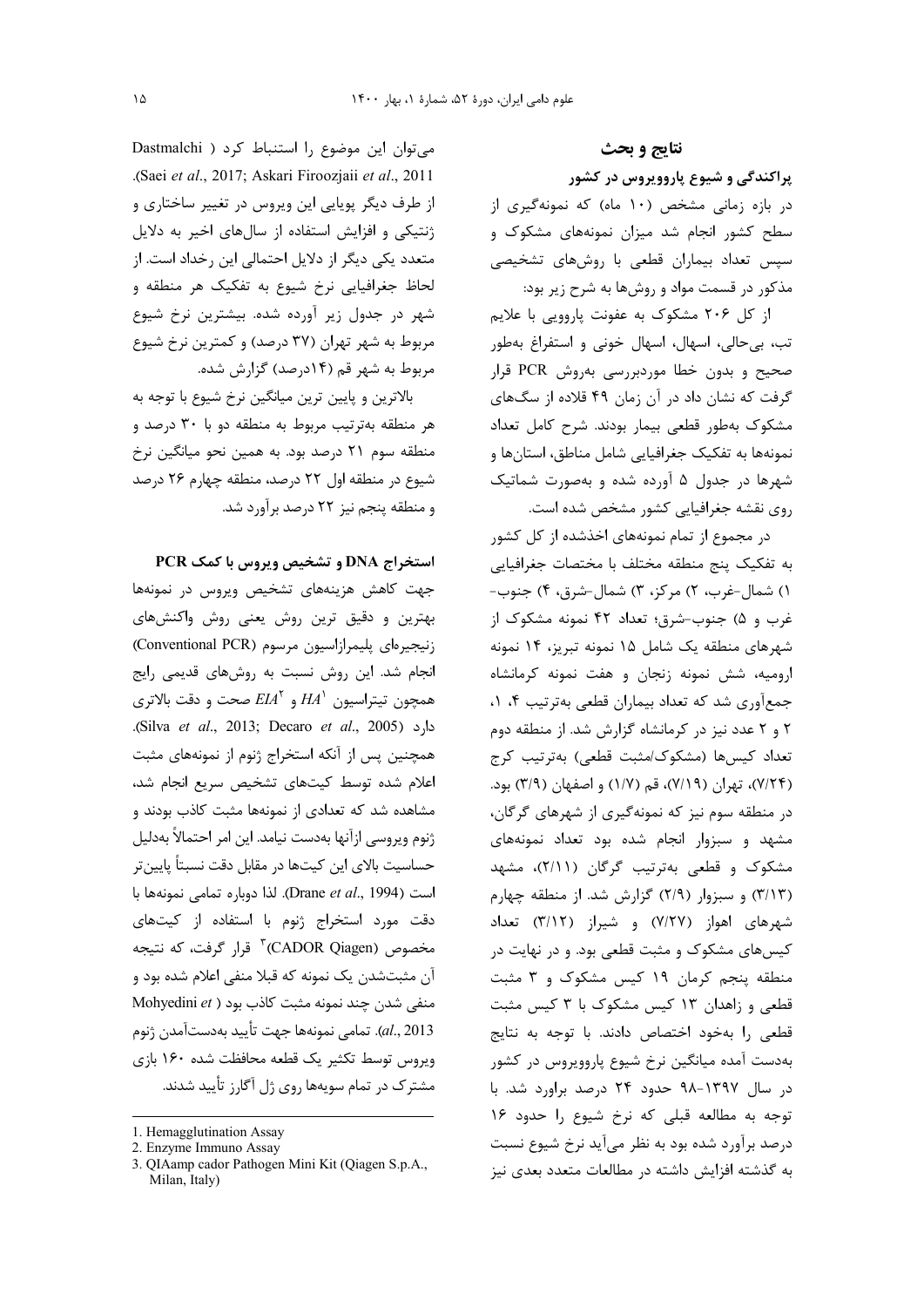۱۵

می توان این موضوع را استنباط کرد ( Dastmalchi .(Saei et al., 2017; Askari Firoozjaii et al., 2011 از طرف دیگر پویایی این ویروس در تغییر ساختاری و ژنتیکی و افزایش استفاده از سال های اخیر به دلایل متعدد یکی دیگر از دلایل احتمالی این رخداد است. از لحاظ جغرافیایی نرخ شیوع به تفکیک هر منطقه و شهر در جدول زیر آورده شده. بیشترین نرخ شیوع مربوط به شهر تهران (۳۷ درصد) و کمترین نرخ شیوع مربوط به شهر قم (۱۴درصد) گزارش شده.

بالاترین و پایین ترین میانگین نرخ شیوع با توجه به هر منطقه بهترتیب مربوط به منطقه دو با ۳۰ درصد و منطقه سوم ۲۱ درصد بود. به همین نحو میانگین نرخ شیوع در منطقه اول ٢٢ درصد، منطقه چهارم ٢۶ درصد و منطقه پنجم نیز ٢٢ درصد برآورد شد.

استخراج DNA و تشخیص ویروس با کمک PCR جهت كاهش هزينههاى تشخيص ويروس در نمونهها بهترین و دقیق ترین روش یعنی روش واکنشهای زنيجيرهاي پليمرازاسيون مرسوم (Conventional PCR) انجام شد. این روش نسبت به روشهای قدیمی رایج همچون تيتراسيون  $HA^{\backprime}$  و  $EIA^{\backprime}$  صحت و دقت بالاترى دارد (Silva et al., 2013; Decaro et al., 2005). همچنین پس از آنکه استخراج ژنوم از نمونههای مثبت اعلام شده توسط كيتهاى تشخيص سريع انجام شد، مشاهده شد که تعدادی از نمونهها مثبت کاذب بودند و ژنوم ويروسي ازآنها بهدست نيامد. اين امر احتمالاً بهدليل حساسیت بالای این کیتها در مقابل دقت نسبتاً پایین تر است (Drane et al., 1994). لذا دوباره تمامى نمونهها با دقت مورد استخراج ژنوم با استفاده از کیتهای مخصوص (CADOR Qiagen)" قرار گرفت، که نتیجه آن مثبتشدن یک نمونه که قبلا منفی اعلام شده بود و Mohyedini et ) منفی شدن چند نمونه مثبت کاذب بود al., 2013). تمامي نمونهها جهت تأييد بهدستآمدن ژنوم ویروس توسط تکثیر یک قطعه محافظت شده ۱۶۰ بازی مشترک در تمام سویهها روی ژل آگارز تأیید شدند.

نتايج و بحث

پراکندگی و شیوع پاروویروس در کشور

در بازه زمانی مشخص (۱۰ ماه) که نمونهگیری از سطح کشور انجام شد میزان نمونههای مشکوک و سیس تعداد بیماران قطعی با روشهای تشخیصی مذکور در قسمت مواد و روشها به شرح زیر بود:

از کل ۲۰۶ مشکوک به عفونت پاروویی با علایم تب، بي حالي، اسهال، اسهال خوني و استفراغ بهطور صحیح و بدون خطا موردبررسی بهروش PCR قرار گرفت که نشان داد در آن زمان ۴۹ قلاده از سگهای مشکوک بهطور قطعی بیمار بودند. شرح کامل تعداد نمونهها به تفكيك جغرافيايي شامل مناطق، استانها و شهرها در جدول ۵ آورده شده و بهصورت شماتیک روی نقشه جغرافیایی کشور مشخص شده است.

در مجموع از تمام نمونههای اخذشده از کل کشور به تفكيك پنج منطقه مختلف با مختصات جغرافيايي ۱) شمال-غرب، ۲) مرکز، ۳) شمال-شرق، ۴) جنوب-غرب و ۵) جنوب-شرق؛ تعداد ۴۲ نمونه مشکوک از شهرهای منطقه یک شامل ۱۵ نمونه تبریز، ۱۴ نمونه ارومیه، شش نمونه زنجان و هفت نمونه کرمانشاه جمع آوري شد كه تعداد بيماران قطعي بهترتيب ۴، ١، ٢ و ٢ عدد نيز در كرمانشاه گزارش شد. از منطقه دوم تعداد كيسها (مشكوك/مثبت قطعي) بهترتيب كرج (٧/٢۴)، تهران (٧/١٩)، قم (١/٧) و اصفهان (٣/٩) بود. در منطقه سوم نیز که نمونهگیری از شهرهای گرگان، مشهد و سبزوار انجام شده بود تعداد نمونههای مشکوک و قطعی بهترتیب گرگان (۲/۱۱)، مشهد (٣/١٣) و سبزوار (٢/٩) گزارش شد. از منطقه چهارم شهرهای اهواز (٧/٢٧) و شیراز (٣/١٢) تعداد کیسهای مشکوک و مثبت قطعی بود. و در نهایت در منطقه پنجم کرمان ۱۹ کیس مشکوک و ۳ مثبت قطعی و زاهدان ۱۳ کیس مشکوک با ۳ کیس مثبت قطعی را بهخود اختصاص دادند. با توجه به نتایج بهدست آمده میانگین نرخ شیوع پاروویروس در کشور در سال ۱۳۹۷-۹۸ حدود ۲۴ درصد براورد شد. با توجه به مطالعه قبلى كه نرخ شيوع را حدود ١۶ درصد برآورد شده بود به نظر میآید نرخ شیوع نسبت به گذشته افزایش داشته در مطالعات متعدد بعدی نیز

<sup>1.</sup> Hemagglutination Assay

<sup>2.</sup> Enzyme Immuno Assay

<sup>3.</sup> QIAamp cador Pathogen Mini Kit (Qiagen S.p.A., Milan, Italy)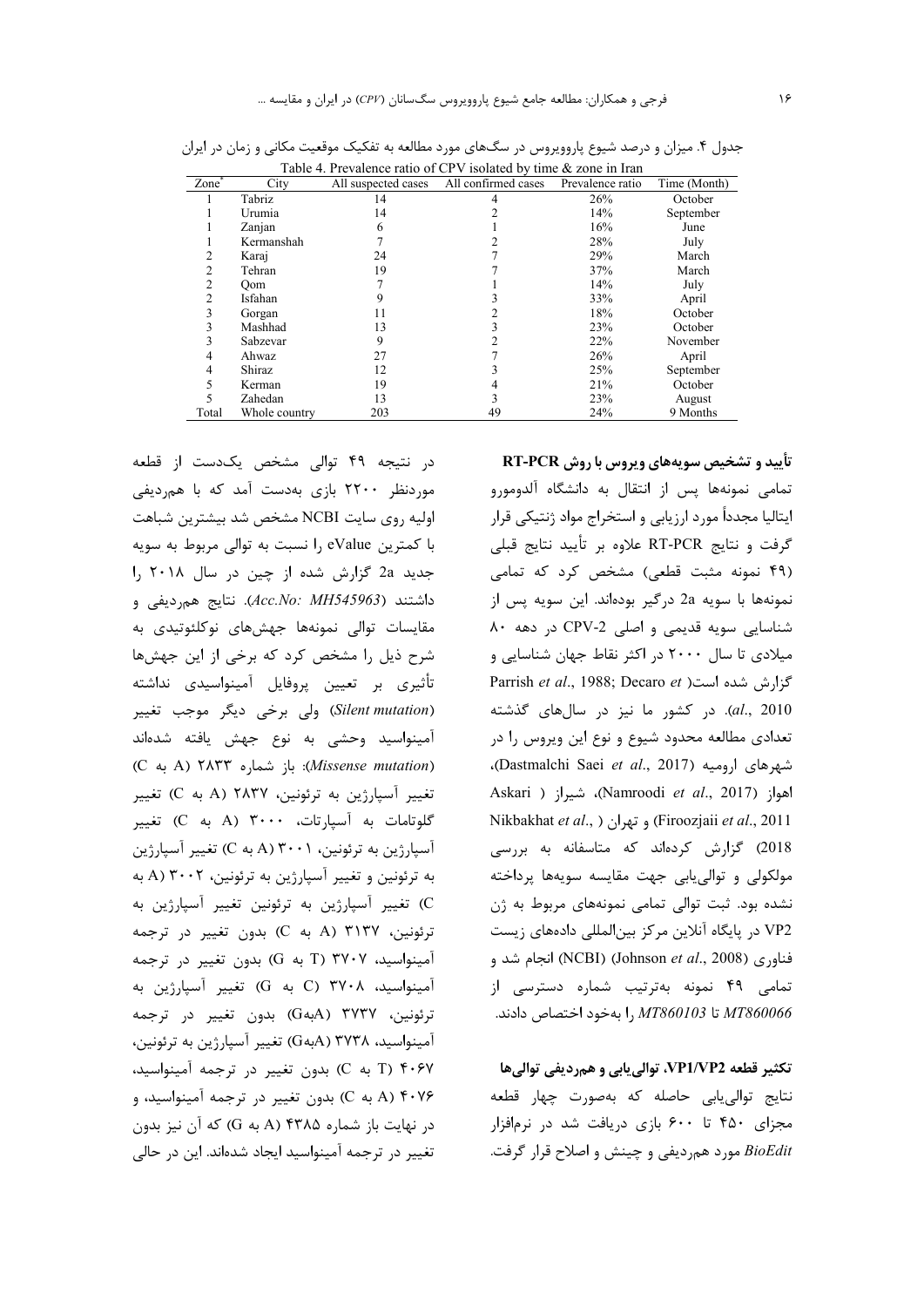| Table 4. Prevalence ratio of CPV isolated by time & zone in Iran |               |                     |                     |                  |              |  |  |  |
|------------------------------------------------------------------|---------------|---------------------|---------------------|------------------|--------------|--|--|--|
| Zone                                                             | City          | All suspected cases | All confirmed cases | Prevalence ratio | Time (Month) |  |  |  |
|                                                                  | Tabriz        | 14                  |                     | 26%              | October      |  |  |  |
|                                                                  | Urumia        | 14                  |                     | 14%              | September    |  |  |  |
|                                                                  | Zanjan        | 6                   |                     | 16%              | June         |  |  |  |
|                                                                  | Kermanshah    |                     |                     | 28%              | July         |  |  |  |
| 2                                                                | Karaj         | 24                  |                     | 29%              | March        |  |  |  |
| 2                                                                | Tehran        | 19                  |                     | 37%              | March        |  |  |  |
| 2                                                                | Oom           |                     |                     | 14%              | July         |  |  |  |
| 2                                                                | Isfahan       |                     |                     | 33%              | April        |  |  |  |
| 3                                                                | Gorgan        | 11                  |                     | 18%              | October      |  |  |  |
| 3                                                                | Mashhad       | 13                  |                     | 23%              | October      |  |  |  |
| 3                                                                | Sabzevar      | 9                   |                     | 22%              | November     |  |  |  |
| 4                                                                | Ahwaz         | 27                  |                     | 26%              | April        |  |  |  |
| 4                                                                | Shiraz        | 12                  |                     | 25%              | September    |  |  |  |
|                                                                  | Kerman        | 19                  |                     | 21%              | October      |  |  |  |
|                                                                  | Zahedan       | 13                  |                     | 23%              | August       |  |  |  |
| Total                                                            | Whole country | 203                 | 49                  | 24%              | 9 Months     |  |  |  |

جدول ۴. میزان و درصد شیوع پاروویروس در سگ&ای مورد مطالعه به تفکیک موقعیت مکانی و زمان در ایران<br>Table 4 Desyslance at CDV isolated by time & zone is Imp

در نتیجه ۴۹ توالی مشخص یکدست از قطعه موردنظر ۲۲۰۰ بازی بهدست آمد که با همردیفی اولیه روی سایت NCBI مشخص شد بیشترین شباهت با کمترین eValue را نسبت به توالی مربوط به سویه جدید 2a گزارش شده از چین در سال ۲۰۱۸ را داشتند (Acc.No: MH545963). نتايج همرديفي و مقايسات توالى نمونهها جهشهاى نوكلئوتيدى به شرح ذیل را مشخص کرد که برخی از این جهشها تأثيري بر تعيين پروفايل آمينواسيدي نداشته (Silent mutation) ولي برخي ديگر موجب تغيير آمینواسید وحشی به نوع جهش یافته شدهاند (Missense mutation): باز شماره A) ۲۸۳۳ (A تغییر آسپارژین به ترئونین، ۲۸۳۷ (A به C) تغییر گلوتامات به آسپارتات، ۳۰۰۰ (A به C) تغییر آسپارژین به ترئونین، ۲۰۰۱ (A به C) تغییر آسپارژین به ترئونین و تغییر آسیارژین به ترئونین، ۲۰۰۲ (A به C) تغییر آسپارژین به ترئونین تغییر آسپارژین به ترئونين، ۳۱۳۷ (A به C) بدون تغيير در ترجمه آمینواسید، ۳۷۰۷ (T به G) بدون تغییر در ترجمه آمینواسید، ۳۷۰۸ (C به G) تغییر آسپارژین به ترئونين، ٣٧٣٧ (G4بهG) بدون تغيير در ترجمه آمینواسید، ۳۷۳۸ (AبهG) تغییر آسپارژین به ترئونین، C به C) بدون تغییر در ترجمه آمینواسید، A) ۴۰۷۶ (A به C) بدون تغییر در ترجمه آمینواسید، و در نهایت باز شماره A) ۴۳۸۵ (A به G) که آن نیز بدون تغییر در ترجمه آمینواسید ایجاد شدهاند. این در حالی

تأیید و تشخیص سویههای ویروس با روش RT-PCR تمامی نمونهها پس از انتقال به دانشگاه آلدومورو ایتالیا مجدداً مورد ارزیابی و استخراج مواد ژنتیکی قرار گرفت و نتايج RT-PCR علاوه بر تأييد نتايج قبلي (۴۹ نمونه مثبت قطعی) مشخص کرد که تمامی نمونهها با سويه 2a درگير بودهاند. اين سويه پس از شناسایی سویه قدیمی و اصلی CPV-2 در دهه ۸۰ میلادی تا سال ۲۰۰۰ در اکثر نقاط جهان شناسایی و Parrish et al., 1988; Decaro et است (Parrish et al., 1988; Decaro et al., 2010). در کشور ما نیز در سالهای گذشته تعدادی مطالعه محدود شیوع و نوع این ویروس را در شهرهای ارومیه (Dastmalchi Saei *et al.*, 2017)، Askari ) اهواز (Namroodi et al., 2017)، شيراز Nikbakhat et al., ) و تهران ( .Firoozjaii et al., 2011 2018) گزارش کردهاند که متاسفانه به بررسی مولکولی و توالی پابی جهت مقایسه سویهها پرداخته نشده بود. ثبت توالی تمامی نمونههای مربوط به ژن VP2 در پایگاه آنلاین مرکز بینالمللی دادههای زیست فناوري (NCBI) (Johnson et al., 2008) انجام شد و تمامی ۴۹ نمونه بهترتیب شماره دسترسی از تا  $MT860103$  , ا بهخود اختصاص دادند.  $MT860066$ 

تکثیر قطعه VP1/VP2، توالی بابی و همردیفی توالیها نتايج توالى يابى حاصله كه بهصورت چهار قطعه مجزای ۴۵۰ تا ۶۰۰ بازی دریافت شد در نرمافزار BioEdit مورد همرديفي و چينش و اصلاح قرار گرفت.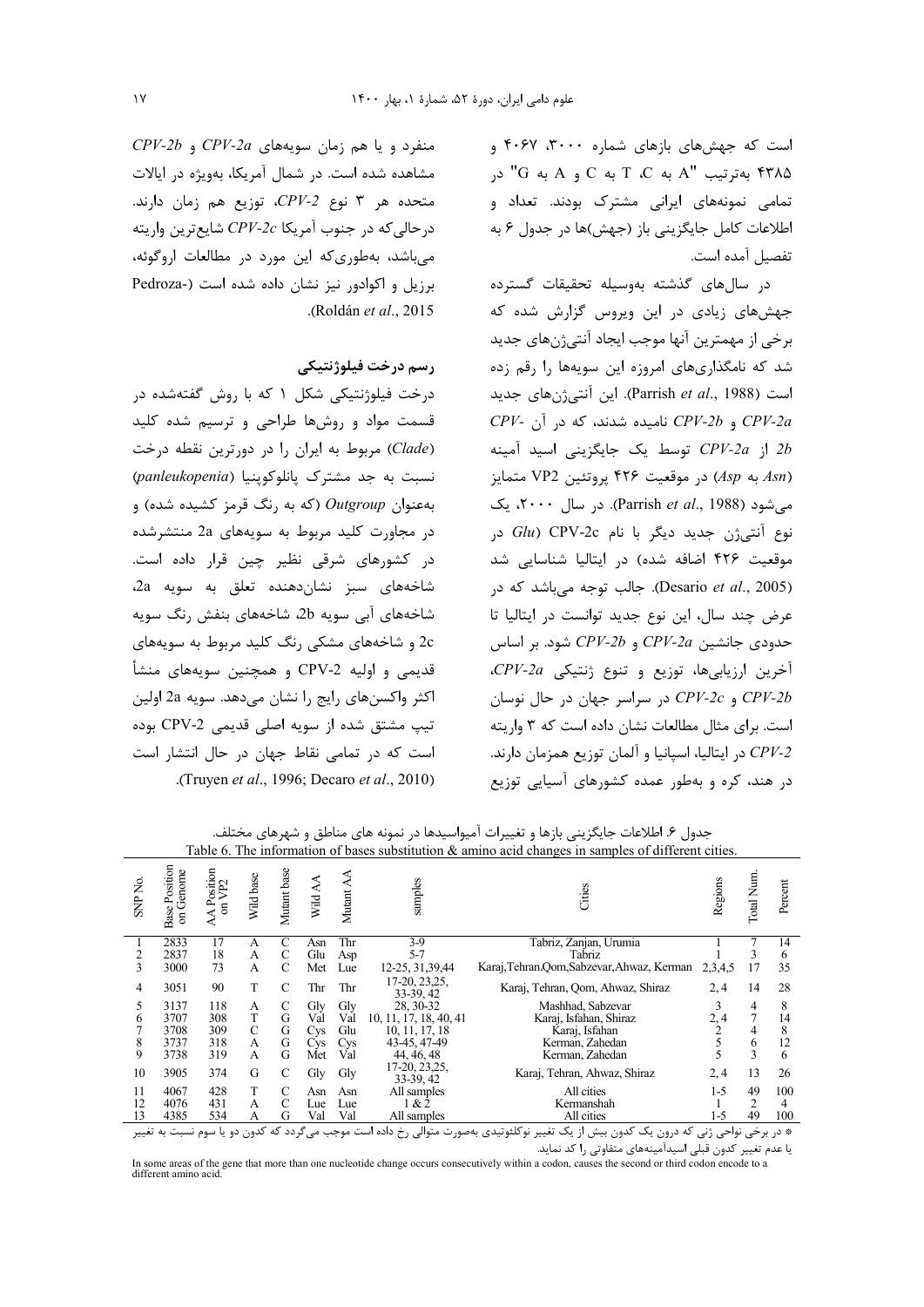است که جهشهای بازهای شماره ۳۰۰۰، ۴۰۶۷ و به ترتیب "A به C به C به C و A به "G" در C" تمامی نمونههای ایرانی مشترک بودند. تعداد و اطلاعات كامل جايگزيني باز (جهش)ها در جدول ۶ به تفصيل آمده است.

در سال های گذشته بهوسیله تحقیقات گسترده جهشهای زیادی در این ویروس گزارش شده که برخي از مهمترين آنها موجب ايجاد آنتي;ن&اي جديد شد که نامگذاریهای امروزه این سویهها را رقم زده است (Parrish et al., 1988). این آنتی ژنهای جدید  $CPV$ و CPV-2b و CPV-2b نامیده شدند، که در آن از CPV-2a توسط یک جایگزینی اسید آمینه بروتئين VP2 متمايز (Asp بروتئين VP2 متمايز می شود (Parrish et al., 1988). در سال ۲۰۰۰، یک نوع آنتی ژن جدید دیگر با نام CPV-2c در موقعیت ۴۲۶ اضافه شده) در ایتالیا شناسایی شد (Desario et al., 2005). جالب توجه می باشد که در عرض چند سال، این نوع جدید توانست در ایتالیا تا حدودی جانشین CPV-2a و CPV-2b شود. بر اساس  $C\!P V$ -2a أخرين ارزيابي ها، توزيع و تنوع ژنتيكي و CPV-2c و CPV-2c در سراسر جهان در حال نوسان است. برای مثال مطالعات نشان داده است که ۳ واریته در ایتالیا، اسیانیا و آلمان توزیع همزمان دارند.  $C\!P\!V\!-\!2$ در هند، کره و بهطور عمده کشورهای آسیایی توزیع

 $CPV-2b$  و دا هم زمان سویههای CPV-2a و CPV-2b مشاهده شده است. در شمال آمریکا، بهویژه در ایالات متحده هر ٣ نوع CPV-2، توزيع هم زمان دارند.  $CPI - 2c$  درحالي كه در جنوب آمريكا  $CPI - 2c$  شايع ترين واريته م باشد، بهطوری که این مورد در مطالعات اروگوئه، برزیل و اکوادور نیز نشان داده شده است (-Pedroza .(Roldán et al., 2015

## رسم درخت فيلوژنتيكي

درخت فیلوژنتیکی شکل ۱ که با روش گفتهشده در قسمت مواد و روشها طراحی و ترسیم شده کلید (Clade) مربوط به ایران را در دورترین نقطه درخت نسبت به جد مشترک پانلوکوپنیا (panleukopenia) به عنوان Outgroup (که به رنگ قرمز کشیده شده) و در مجاورت کلید مربوط به سویههای 2a منتشرشده در کشورهای شرقی نظیر چین قرار داده است. شاخەھاي سېز نشانcهنده تعلق به سويه 2a، شاخههای آبی سویه 2b، شاخههای بنفش رنگ سویه 2c و شاخههای مشکی رنگ کلید مربوط به سویههای قديمي و اوليه CPV-2 و همچنين سويههاي منشأ اكثر واكسنهاي رايج را نشان مي دهد. سويه 2a اولين تیپ مشتق شده از سویه اصلی قدیمی CPV-2 بوده است که در تمامی نقاط جهان در حال انتشار است .(Truven *et al.*, 1996; Decaro *et al.*, 2010).

جدول ۶. اطلاعات جایگزینی بازها و تغییرات آمیواسیدها در نمونه های مناطق و شهرهای مختلف. Table 6. The information of bases substitution & amino acid changes in samples of different cities.

| ż<br><b>SNP</b> | Positio<br>on Genome<br>Base | Position<br>n VP2<br>$\rm ^{5}$ | Wild base | Mutant base | ≺<br>Wild.             | Mutant | samples                     | Cities                                     | Regions | Num.<br>Total | Percent |
|-----------------|------------------------------|---------------------------------|-----------|-------------|------------------------|--------|-----------------------------|--------------------------------------------|---------|---------------|---------|
|                 | 2833                         | 17                              | A         | C           | Asn                    | Thr    | 3-9                         | Tabriz, Zanjan, Urumia                     |         |               | 14      |
| 2               | 2837                         | 18                              | A         | C           | Glu                    | Asp    | 5-7                         | Tabriz                                     |         | 3             | 6       |
| 3               | 3000                         | 73                              | A         | C           | Met                    | Lue    | 12-25, 31, 39, 44           | Karaj, Tehran Oom, Sabzevar, Ahwaz, Kerman | 2.3.4.5 | 17            | 35      |
| 4               | 3051                         | 90                              | T         | C           | Thr                    | Thr    | 17-20, 23, 25,<br>33-39, 42 | Karaj, Tehran, Qom, Ahwaz, Shiraz          | 2, 4    | 14            | 28      |
|                 | 3137                         | 118                             | А         | C           | Gly                    | Gly    | 28, 30-32                   | Mashhad, Sabzevar                          |         | 4             | 8       |
| 6               | 3707                         | 308                             | T         | G           | Val                    | Val    | 10, 11, 17, 18, 40, 41      | Karaj, Isfahan, Shiraz                     | 2,4     | 7             | 14      |
|                 | 3708                         | 309                             | C         | G           | <b>C</b> <sub>vs</sub> | Glu    | 10, 11, 17, 18              | Karaj, Isfahan                             |         | 4             | 8       |
| 8               | 3737                         | 318                             | A         | G           | <b>Cys</b>             | Cvs    | 43-45, 47-49                | Kerman, Zahedan                            |         | 6             | 12      |
| 9               | 3738                         | 319                             | A         | G           | Met                    | Val    | 44, 46, 48                  | Kerman, Zahedan                            |         | 3             | 6       |
| 10              | 3905                         | 374                             | G         | C           | Gly                    | Gly    | 17-20, 23, 25,<br>33-39, 42 | Karaj, Tehran, Ahwaz, Shiraz               | 2, 4    | 13            | 26      |
| 11              | 4067                         | 428                             | T         | C           | Asn                    | Asn    | All samples                 | All cities                                 | $1 - 5$ | 49            | 100     |
| 12              | 4076                         | 431                             | A         | C           | Lue                    | Lue    | 1 & 2                       | Kermanshah                                 |         | 2             | 4       |
| 13              | 4385                         | 534                             | А         | G           | Val                    | Val    | All samples                 | All cities                                 | 1-5     | 49            | 100     |
|                 |                              |                                 |           |             |                        |        |                             |                                            |         |               |         |

\* در برخی نواحی ژنی که درون یک کدون بیش از یک تغییر نوکلئوتیدی بهصورت متوالی رخ داده است موجب میگردد که کدون دو یا سوم نسبت به تغییر یا عدم تغییر کدون قبلی اسیدآمینههای متفاوتی را کد نماید.

In some areas of the gene that more than one nucleotide change occurs consecutively within a codon, causes the second or third codon encode to a different amino acid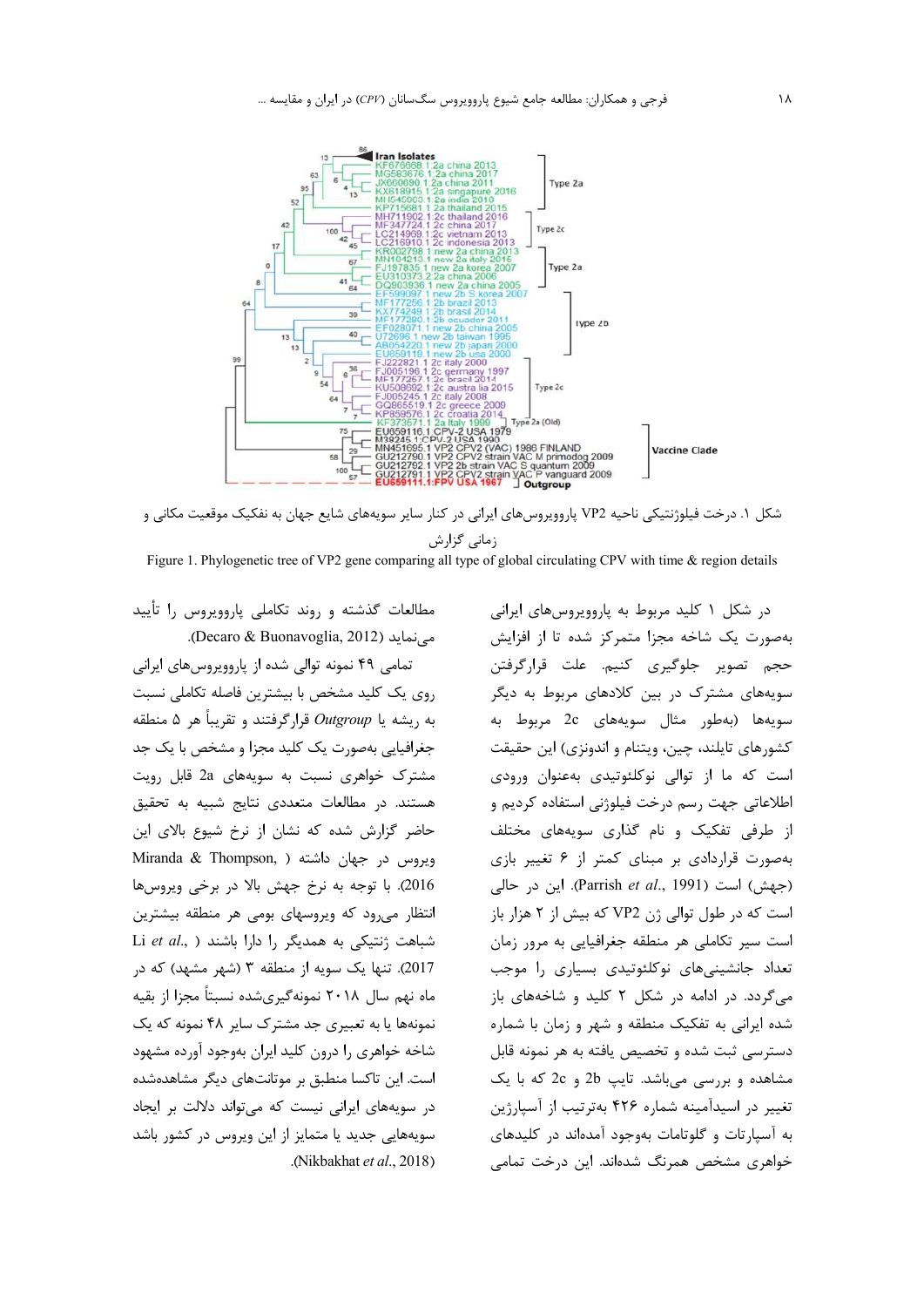

شکل ۱. درخت فیلوژنتیکی ناحیه VP2 پاروویروسهای ایرانی در کنار سایر سویههای شایع جهان به نفکیک موقعیت مکانی و زمانی گزارش

Figure 1. Phylogenetic tree of VP2 gene comparing all type of global circulating CPV with time & region details

مطالعات گذشته و روند تکاملی پاروویروس را تأیید می نماید (Decaro & Buonavoglia, 2012).

تمامی ۴۹ نمونه توالی شده از پاروویروسهای ایرانی روی یک کلید مشخص با بیشترین فاصله تکاملی نسبت به ريشه يا Outgroup قرارگرفتند و تقريباً هر ۵ منطقه جغرافیایی بهصورت یک کلید مجزا و مشخص با یک جد مشترک خواهری نسبت به سویههای 2a قابل رویت هستند. در مطالعات متعددی نتایج شبیه به تحقیق حاضر گزارش شده که نشان از نرخ شیوع بالای این Miranda & Thompson, ) ديروس در جهان داشته ( 2016). با توجه به نرخ جهش بالا در برخی ویروسها انتظار میرود که ویروسهای بومی هر منطقه بیشترین Li et al., ) شباهت ژنتیکی به همدیگر را دارا باشند 2017). تنها یک سویه از منطقه ۳ (شهر مشهد) که در ماه نهم سال ۲۰۱۸ نمونهگیریشده نسبتاً مجزا از بقیه نمونهها یا به تعبیری جد مشترک سایر ۴۸ نمونه که یک شاخه خواهری را درون کلید ایران بهوجود آورده مشهود است. این تاکسا منطبق بر موتانتهای دیگر مشاهدهشده در سویههای ایرانی نیست که می تواند دلالت بر ایجاد سویههایی جدید یا متمایز از این ویروس در کشور باشد .(Nikbakhat et al., 2018).

در شکل ۱ کلید مربوط به پاروویروسهای ایرانی بهصورت یک شاخه مجزا متمرکز شده تا از افزایش حجم تصویر جلوگیری کنیم. علت قرارگرفتن سویههای مشترک در بین کلادهای مربوط به دیگر سويهها (بهطور مثال سويههاي 2c مربوط به کشورهای تایلند، چین، ویتنام و اندونزی) این حقیقت است که ما از توالی نوکلئوتیدی بهعنوان ورودی اطلاعاتی جهت رسم درخت فیلوژنی استفاده کردیم و از طرفی تفکیک و نام گذاری سویههای مختلف بهصورت قراردادی بر مبنای کمتر از ۶ تغییر بازی (جهش) است (Parrish et al., 1991). این در حالی است که در طول توالي ژن VP2 که بيش از ٢ هزار باز است سير تكاملي هر منطقه جغرافيايي به مرور زمان تعداد جانشینیهای نوکلئوتیدی بسیاری را موجب می گردد. در ادامه در شکل ۲ کلید و شاخههای باز شده ایرانی به تفکیک منطقه و شهر و زمان با شماره دسترسی ثبت شده و تخصیص یافته به هر نمونه قابل مشاهده و بررسی می باشد. تایپ 2b و 2c که با یک تغییر در اسیدآمینه شماره ۴۲۶ بهترتیب از آسپارژین به آسیارتات و گلوتامات بهوجود آمدهاند در کلیدهای خواهری مشخص همرنگ شدهاند. این درخت تمامی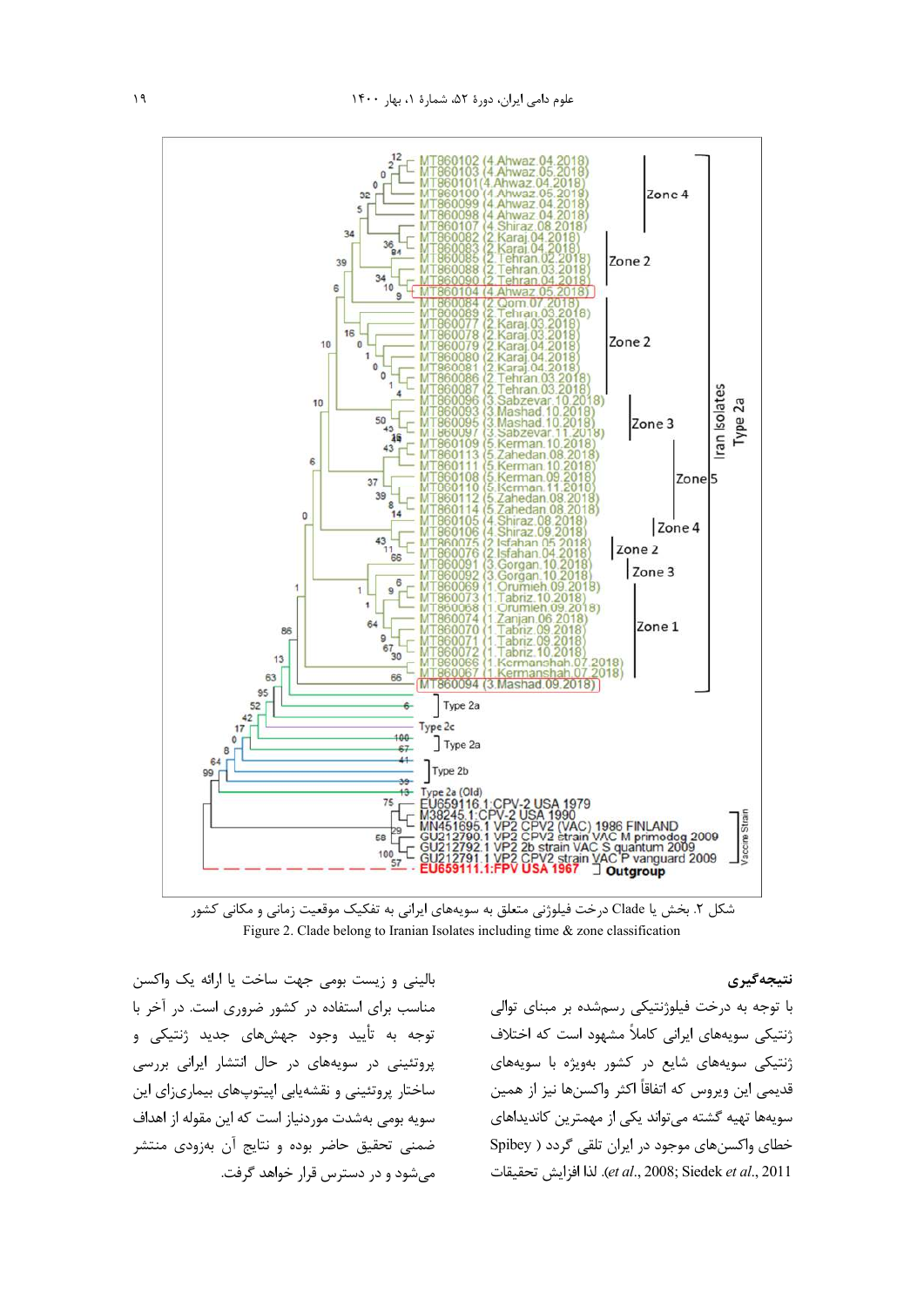

شکل ۲. بخش یا Clade درخت فیلوژنی متعلق به سویههای ایرانی به تفکیک موقعیت زمانی و مکانی کشور Figure 2. Clade belong to Iranian Isolates including time & zone classification

بالینی و زیست بومی جهت ساخت یا ارائه یک واکسن مناسب برای استفاده در کشور ضروری است. در آخر با توجه به تأييد وجود جهشهاى جديد ژنتيكى و پروتئینی در سویههای در حال انتشار ایرانی بررسی ساختار پروتئینی و نقشهیابی اپیتوپهای بیماریزای این سویه بومی بهشدت موردنیاز است که این مقوله از اهداف ضمنی تحقیق حاضر بوده و نتایج آن بهزودی منتشر میشود و در دسترس قرار خواهد گرفت.

## نتيجەگيرى

با توجه به درخت فیلوژنتیکی رسمشده بر مبنای توالی ژنتیکی سویههای ایرانی کاملاً مشهود است که اختلاف ژنتیکی سویههای شایع در کشور بهویژه با سویههای قديمي اين ويروس كه اتفاقاً اكثر واكسنها نيز از همين سویهها تهیه گشته می تواند یکی از مهمترین کاندیداهای خطای واکسنهای موجود در ایران تلقی گردد ( Spibey et al., 2008; Siedek et al., 2011). لذا افزايش تحقيقات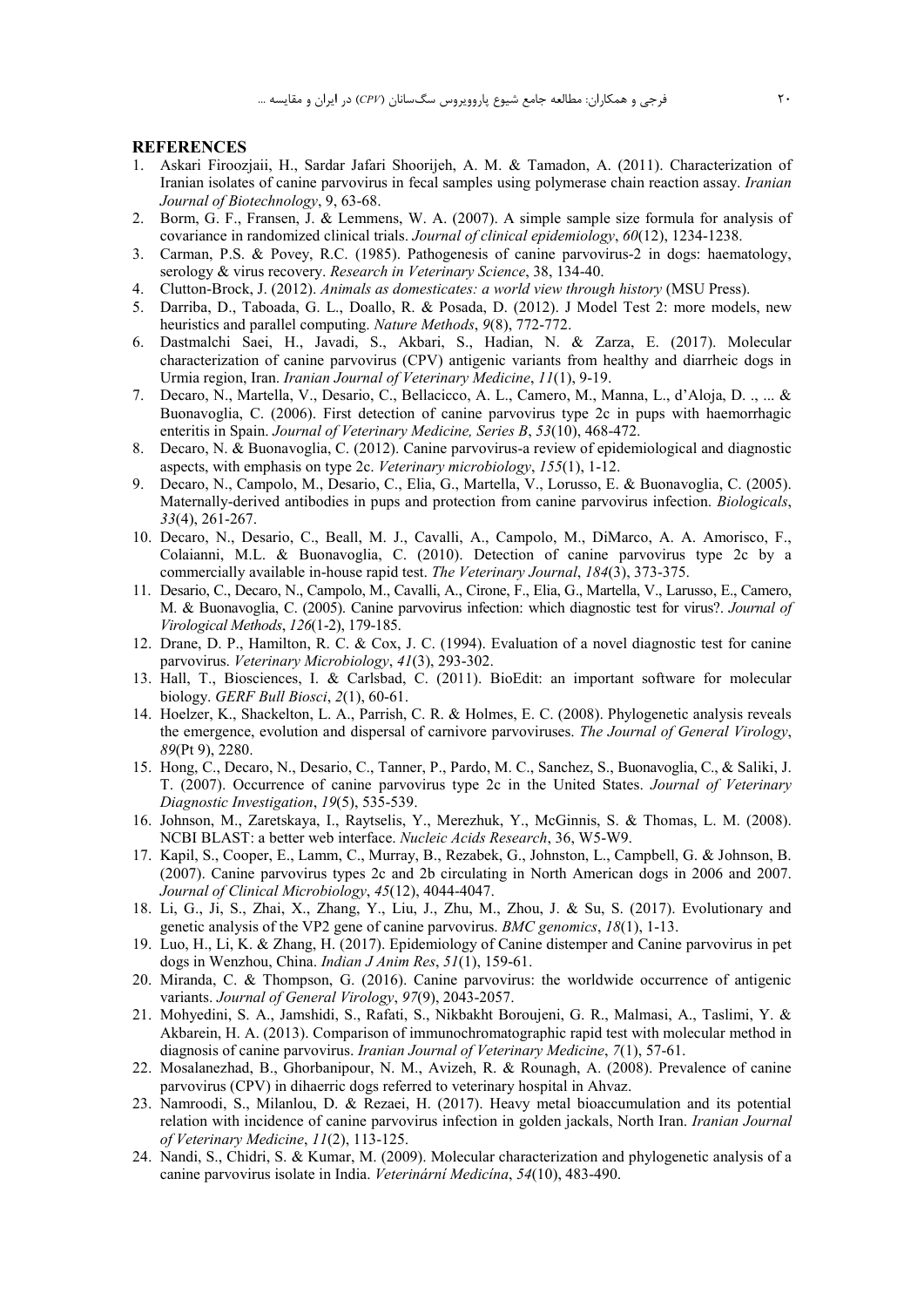#### **REFERENCES**

- 1. Askari Firoozjaii, H., Sardar Jafari Shoorijeh, A. M. & Tamadon, A. (2011). Characterization of Iranian isolates of canine parvovirus in fecal samples using polymerase chain reaction assay. *Iranian Journal of Biotechnology*, 9, 63-68.
- 2. Borm, G. F., Fransen, J. & Lemmens, W. A. (2007). A simple sample size formula for analysis of covariance in randomized clinical trials. *Journal of clinical epidemiology*, *60*(12), 1234-1238.
- 3. Carman, P.S. & Povey, R.C. (1985). Pathogenesis of canine parvovirus-2 in dogs: haematology, serology & virus recovery. *Research in Veterinary Science*, 38, 134-40.
- 4. Clutton-Brock, J. (2012). *Animals as domesticates: a world view through history* (MSU Press).
- 5. Darriba, D., Taboada, G. L., Doallo, R. & Posada, D. (2012). J Model Test 2: more models, new heuristics and parallel computing. *Nature Methods*, *9*(8), 772-772.
- 6. Dastmalchi Saei, H., Javadi, S., Akbari, S., Hadian, N. & Zarza, E. (2017). Molecular characterization of canine parvovirus (CPV) antigenic variants from healthy and diarrheic dogs in Urmia region, Iran. *Iranian Journal of Veterinary Medicine*, *11*(1), 9-19.
- 7. Decaro, N., Martella, V., Desario, C., Bellacicco, A. L., Camero, M., Manna, L., d'Aloja, D. ., ... & Buonavoglia, C. (2006). First detection of canine parvovirus type 2c in pups with haemorrhagic enteritis in Spain. *Journal of Veterinary Medicine, Series B*, *53*(10), 468-472.
- 8. Decaro, N. & Buonavoglia, C. (2012). Canine parvovirus-a review of epidemiological and diagnostic aspects, with emphasis on type 2c. *Veterinary microbiology*, *155*(1), 1-12.
- 9. Decaro, N., Campolo, M., Desario, C., Elia, G., Martella, V., Lorusso, E. & Buonavoglia, C. (2005). Maternally-derived antibodies in pups and protection from canine parvovirus infection. *Biologicals*, *33*(4), 261-267.
- 10. Decaro, N., Desario, C., Beall, M. J., Cavalli, A., Campolo, M., DiMarco, A. A. Amorisco, F., Colaianni, M.L. & Buonavoglia, C. (2010). Detection of canine parvovirus type 2c by a commercially available in-house rapid test. *The Veterinary Journal*, *184*(3), 373-375.
- 11. Desario, C., Decaro, N., Campolo, M., Cavalli, A., Cirone, F., Elia, G., Martella, V., Larusso, E., Camero, M. & Buonavoglia, C. (2005). Canine parvovirus infection: which diagnostic test for virus?. *Journal of Virological Methods*, *126*(1-2), 179-185.
- 12. Drane, D. P., Hamilton, R. C. & Cox, J. C. (1994). Evaluation of a novel diagnostic test for canine parvovirus. *Veterinary Microbiology*, *41*(3), 293-302.
- 13. Hall, T., Biosciences, I. & Carlsbad, C. (2011). BioEdit: an important software for molecular biology. *GERF Bull Biosci*, *2*(1), 60-61.
- 14. Hoelzer, K., Shackelton, L. A., Parrish, C. R. & Holmes, E. C. (2008). Phylogenetic analysis reveals the emergence, evolution and dispersal of carnivore parvoviruses. *The Journal of General Virology*, *89*(Pt 9), 2280.
- 15. Hong, C., Decaro, N., Desario, C., Tanner, P., Pardo, M. C., Sanchez, S., Buonavoglia, C., & Saliki, J. T. (2007). Occurrence of canine parvovirus type 2c in the United States. *Journal of Veterinary Diagnostic Investigation*, *19*(5), 535-539.
- 16. Johnson, M., Zaretskaya, I., Raytselis, Y., Merezhuk, Y., McGinnis, S. & Thomas, L. M. (2008). NCBI BLAST: a better web interface. *Nucleic Acids Research*, 36, W5-W9.
- 17. Kapil, S., Cooper, E., Lamm, C., Murray, B., Rezabek, G., Johnston, L., Campbell, G. & Johnson, B. (2007). Canine parvovirus types 2c and 2b circulating in North American dogs in 2006 and 2007. *Journal of Clinical Microbiology*, *45*(12), 4044-4047.
- 18. Li, G., Ji, S., Zhai, X., Zhang, Y., Liu, J., Zhu, M., Zhou, J. & Su, S. (2017). Evolutionary and genetic analysis of the VP2 gene of canine parvovirus. *BMC genomics*, *18*(1), 1-13.
- 19. Luo, H., Li, K. & Zhang, H. (2017). Epidemiology of Canine distemper and Canine parvovirus in pet dogs in Wenzhou, China. *Indian J Anim Res*, *51*(1), 159-61.
- 20. Miranda, C. & Thompson, G. (2016). Canine parvovirus: the worldwide occurrence of antigenic variants. *Journal of General Virology*, *97*(9), 2043-2057.
- 21. Mohyedini, S. A., Jamshidi, S., Rafati, S., Nikbakht Boroujeni, G. R., Malmasi, A., Taslimi, Y. & Akbarein, H. A. (2013). Comparison of immunochromatographic rapid test with molecular method in diagnosis of canine parvovirus. *Iranian Journal of Veterinary Medicine*, *7*(1), 57-61.
- 22. Mosalanezhad, B., Ghorbanipour, N. M., Avizeh, R. & Rounagh, A. (2008). Prevalence of canine parvovirus (CPV) in dihaerric dogs referred to veterinary hospital in Ahvaz.
- 23. Namroodi, S., Milanlou, D. & Rezaei, H. (2017). Heavy metal bioaccumulation and its potential relation with incidence of canine parvovirus infection in golden jackals, North Iran. *Iranian Journal of Veterinary Medicine*, *11*(2), 113-125.
- 24. Nandi, S., Chidri, S. & Kumar, M. (2009). Molecular characterization and phylogenetic analysis of a canine parvovirus isolate in India. *Veterinární Medicína*, *54*(10), 483-490.